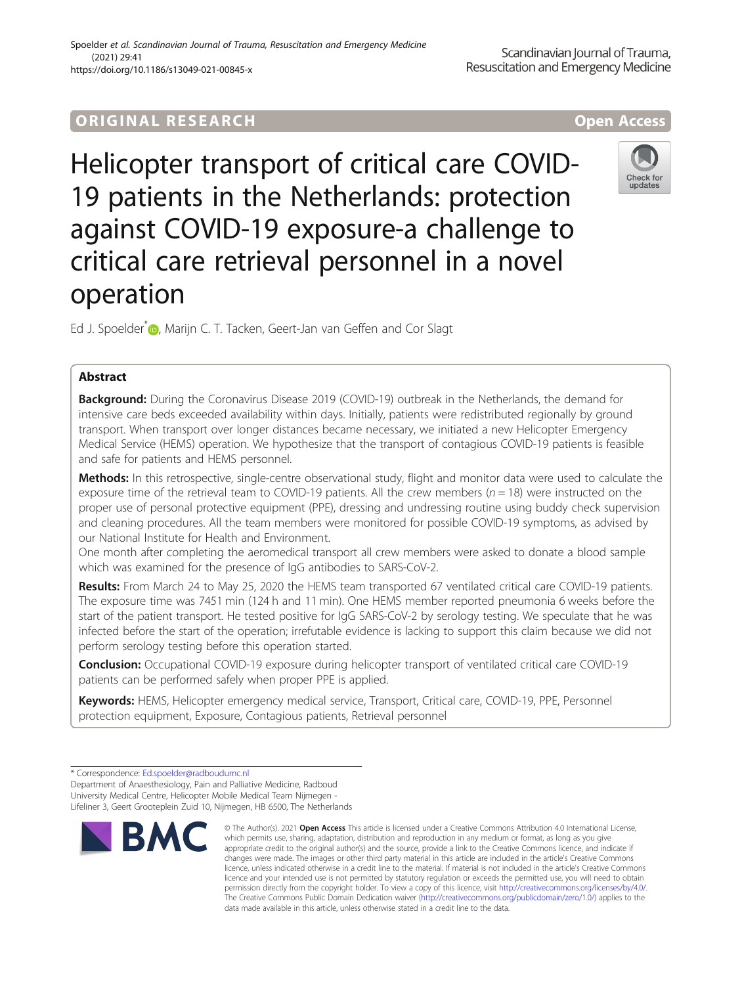# ORIGINA L R E S EA RCH Open Access

Helicopter transport of critical care COVID-19 patients in the Netherlands: protection against COVID-19 exposure-a challenge to critical care retrieval personnel in a novel operation

Ed J. Spoelder<sup>\*</sup><sup>D</sup>[,](http://orcid.org/0000-0002-8244-2659) Marijn C. T. Tacken, Geert-Jan van Geffen and Cor Slagt

# Abstract

Background: During the Coronavirus Disease 2019 (COVID-19) outbreak in the Netherlands, the demand for intensive care beds exceeded availability within days. Initially, patients were redistributed regionally by ground transport. When transport over longer distances became necessary, we initiated a new Helicopter Emergency Medical Service (HEMS) operation. We hypothesize that the transport of contagious COVID-19 patients is feasible and safe for patients and HEMS personnel.

Methods: In this retrospective, single-centre observational study, flight and monitor data were used to calculate the exposure time of the retrieval team to COVID-19 patients. All the crew members ( $n = 18$ ) were instructed on the proper use of personal protective equipment (PPE), dressing and undressing routine using buddy check supervision and cleaning procedures. All the team members were monitored for possible COVID-19 symptoms, as advised by our National Institute for Health and Environment.

One month after completing the aeromedical transport all crew members were asked to donate a blood sample which was examined for the presence of IgG antibodies to SARS-CoV-2.

Results: From March 24 to May 25, 2020 the HEMS team transported 67 ventilated critical care COVID-19 patients. The exposure time was 7451 min (124 h and 11 min). One HEMS member reported pneumonia 6 weeks before the start of the patient transport. He tested positive for IgG SARS-CoV-2 by serology testing. We speculate that he was infected before the start of the operation; irrefutable evidence is lacking to support this claim because we did not perform serology testing before this operation started.

Conclusion: Occupational COVID-19 exposure during helicopter transport of ventilated critical care COVID-19 patients can be performed safely when proper PPE is applied.

Keywords: HEMS, Helicopter emergency medical service, Transport, Critical care, COVID-19, PPE, Personnel protection equipment, Exposure, Contagious patients, Retrieval personnel

© The Author(s), 2021 **Open Access** This article is licensed under a Creative Commons Attribution 4.0 International License, which permits use, sharing, adaptation, distribution and reproduction in any medium or format, as long as you give



Scandinavian Journal of Trauma, Resuscitation and Emergency Medicine



<sup>\*</sup> Correspondence: [Ed.spoelder@radboudumc.nl](mailto:Ed.spoelder@radboudumc.nl)

Department of Anaesthesiology, Pain and Palliative Medicine, Radboud University Medical Centre, Helicopter Mobile Medical Team Nijmegen - Lifeliner 3, Geert Grooteplein Zuid 10, Nijmegen, HB 6500, The Netherlands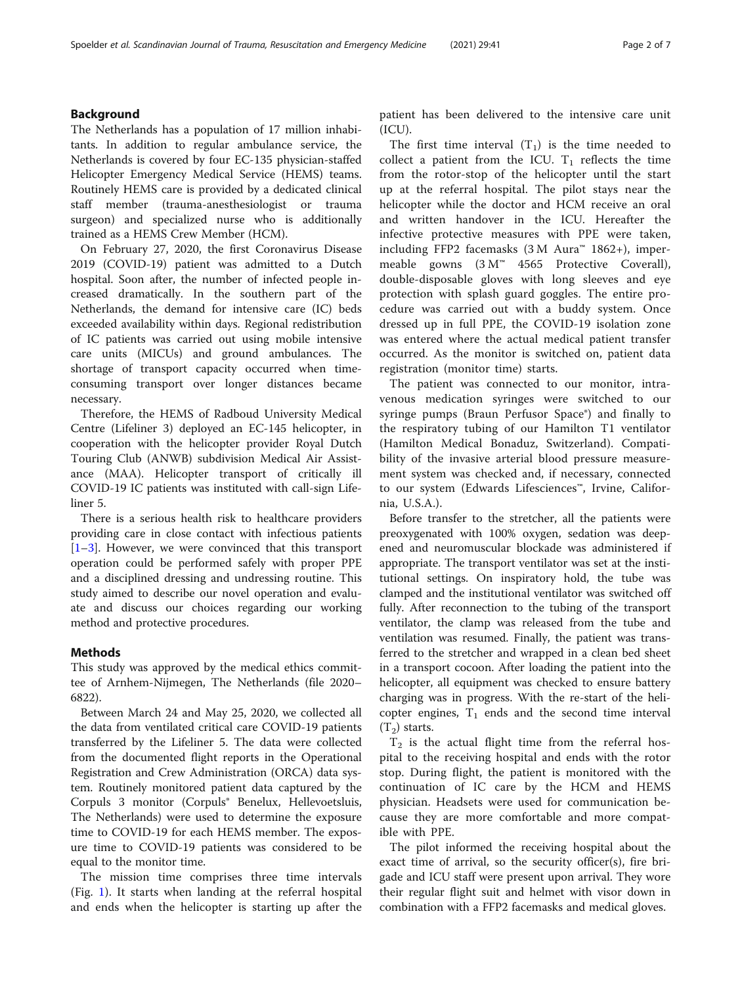# Background

The Netherlands has a population of 17 million inhabitants. In addition to regular ambulance service, the Netherlands is covered by four EC-135 physician-staffed Helicopter Emergency Medical Service (HEMS) teams. Routinely HEMS care is provided by a dedicated clinical staff member (trauma-anesthesiologist or trauma surgeon) and specialized nurse who is additionally trained as a HEMS Crew Member (HCM).

On February 27, 2020, the first Coronavirus Disease 2019 (COVID-19) patient was admitted to a Dutch hospital. Soon after, the number of infected people increased dramatically. In the southern part of the Netherlands, the demand for intensive care (IC) beds exceeded availability within days. Regional redistribution of IC patients was carried out using mobile intensive care units (MICUs) and ground ambulances. The shortage of transport capacity occurred when timeconsuming transport over longer distances became necessary.

Therefore, the HEMS of Radboud University Medical Centre (Lifeliner 3) deployed an EC-145 helicopter, in cooperation with the helicopter provider Royal Dutch Touring Club (ANWB) subdivision Medical Air Assistance (MAA). Helicopter transport of critically ill COVID-19 IC patients was instituted with call-sign Lifeliner 5.

There is a serious health risk to healthcare providers providing care in close contact with infectious patients [[1](#page-6-0)–[3\]](#page-6-0). However, we were convinced that this transport operation could be performed safely with proper PPE and a disciplined dressing and undressing routine. This study aimed to describe our novel operation and evaluate and discuss our choices regarding our working method and protective procedures.

# Methods

This study was approved by the medical ethics committee of Arnhem-Nijmegen, The Netherlands (file 2020– 6822).

Between March 24 and May 25, 2020, we collected all the data from ventilated critical care COVID-19 patients transferred by the Lifeliner 5. The data were collected from the documented flight reports in the Operational Registration and Crew Administration (ORCA) data system. Routinely monitored patient data captured by the Corpuls 3 monitor (Corpuls® Benelux, Hellevoetsluis, The Netherlands) were used to determine the exposure time to COVID-19 for each HEMS member. The exposure time to COVID-19 patients was considered to be equal to the monitor time.

The mission time comprises three time intervals (Fig. [1](#page-2-0)). It starts when landing at the referral hospital and ends when the helicopter is starting up after the patient has been delivered to the intensive care unit (ICU).

The first time interval  $(T_1)$  is the time needed to collect a patient from the ICU.  $T_1$  reflects the time from the rotor-stop of the helicopter until the start up at the referral hospital. The pilot stays near the helicopter while the doctor and HCM receive an oral and written handover in the ICU. Hereafter the infective protective measures with PPE were taken, including FFP2 facemasks (3 M Aura™ 1862+), impermeable gowns (3 M™ 4565 Protective Coverall), double-disposable gloves with long sleeves and eye protection with splash guard goggles. The entire procedure was carried out with a buddy system. Once dressed up in full PPE, the COVID-19 isolation zone was entered where the actual medical patient transfer occurred. As the monitor is switched on, patient data registration (monitor time) starts.

The patient was connected to our monitor, intravenous medication syringes were switched to our syringe pumps (Braun Perfusor Space®) and finally to the respiratory tubing of our Hamilton T1 ventilator (Hamilton Medical Bonaduz, Switzerland). Compatibility of the invasive arterial blood pressure measurement system was checked and, if necessary, connected to our system (Edwards Lifesciences™, Irvine, California, U.S.A.).

Before transfer to the stretcher, all the patients were preoxygenated with 100% oxygen, sedation was deepened and neuromuscular blockade was administered if appropriate. The transport ventilator was set at the institutional settings. On inspiratory hold, the tube was clamped and the institutional ventilator was switched off fully. After reconnection to the tubing of the transport ventilator, the clamp was released from the tube and ventilation was resumed. Finally, the patient was transferred to the stretcher and wrapped in a clean bed sheet in a transport cocoon. After loading the patient into the helicopter, all equipment was checked to ensure battery charging was in progress. With the re-start of the helicopter engines,  $T_1$  ends and the second time interval  $(T_2)$  starts.

 $T_2$  is the actual flight time from the referral hospital to the receiving hospital and ends with the rotor stop. During flight, the patient is monitored with the continuation of IC care by the HCM and HEMS physician. Headsets were used for communication because they are more comfortable and more compatible with PPE.

The pilot informed the receiving hospital about the exact time of arrival, so the security officer(s), fire brigade and ICU staff were present upon arrival. They wore their regular flight suit and helmet with visor down in combination with a FFP2 facemasks and medical gloves.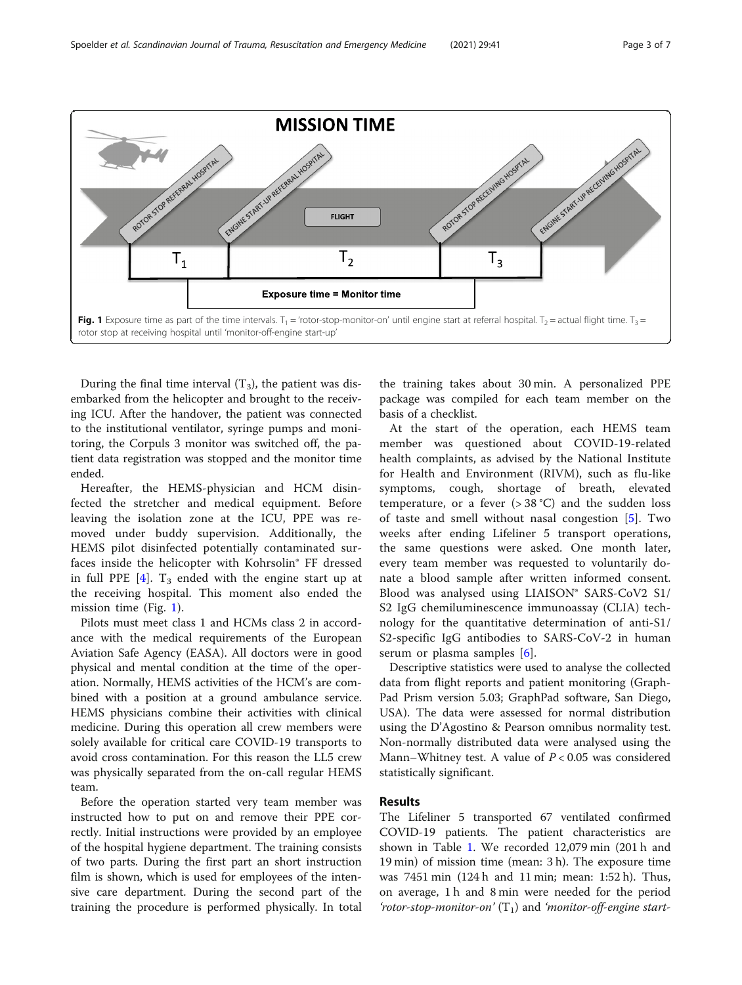<span id="page-2-0"></span>

During the final time interval  $(T_3)$ , the patient was disembarked from the helicopter and brought to the receiving ICU. After the handover, the patient was connected to the institutional ventilator, syringe pumps and monitoring, the Corpuls 3 monitor was switched off, the patient data registration was stopped and the monitor time ended.

Hereafter, the HEMS-physician and HCM disinfected the stretcher and medical equipment. Before leaving the isolation zone at the ICU, PPE was removed under buddy supervision. Additionally, the HEMS pilot disinfected potentially contaminated surfaces inside the helicopter with Kohrsolin® FF dressed in full PPE  $[4]$  $[4]$ . T<sub>3</sub> ended with the engine start up at the receiving hospital. This moment also ended the mission time (Fig. 1).

Pilots must meet class 1 and HCMs class 2 in accordance with the medical requirements of the European Aviation Safe Agency (EASA). All doctors were in good physical and mental condition at the time of the operation. Normally, HEMS activities of the HCM's are combined with a position at a ground ambulance service. HEMS physicians combine their activities with clinical medicine. During this operation all crew members were solely available for critical care COVID-19 transports to avoid cross contamination. For this reason the LL5 crew was physically separated from the on-call regular HEMS team.

Before the operation started very team member was instructed how to put on and remove their PPE correctly. Initial instructions were provided by an employee of the hospital hygiene department. The training consists of two parts. During the first part an short instruction film is shown, which is used for employees of the intensive care department. During the second part of the training the procedure is performed physically. In total

the training takes about 30 min. A personalized PPE package was compiled for each team member on the basis of a checklist.

At the start of the operation, each HEMS team member was questioned about COVID-19-related health complaints, as advised by the National Institute for Health and Environment (RIVM), such as flu-like symptoms, cough, shortage of breath, elevated temperature, or a fever  $(>38 °C)$  and the sudden loss of taste and smell without nasal congestion [[5\]](#page-6-0). Two weeks after ending Lifeliner 5 transport operations, the same questions were asked. One month later, every team member was requested to voluntarily donate a blood sample after written informed consent. Blood was analysed using LIAISON® SARS-CoV2 S1/ S2 IgG chemiluminescence immunoassay (CLIA) technology for the quantitative determination of anti-S1/ S2-specific IgG antibodies to SARS-CoV-2 in human serum or plasma samples [\[6](#page-6-0)].

Descriptive statistics were used to analyse the collected data from flight reports and patient monitoring (Graph-Pad Prism version 5.03; GraphPad software, San Diego, USA). The data were assessed for normal distribution using the D'Agostino & Pearson omnibus normality test. Non-normally distributed data were analysed using the Mann–Whitney test. A value of  $P < 0.05$  was considered statistically significant.

# Results

The Lifeliner 5 transported 67 ventilated confirmed COVID-19 patients. The patient characteristics are shown in Table [1.](#page-3-0) We recorded 12,079 min (201 h and 19 min) of mission time (mean: 3 h). The exposure time was 7451 min (124 h and 11 min; mean: 1:52 h). Thus, on average, 1 h and 8 min were needed for the period 'rotor-stop-monitor-on'  $(T_1)$  and 'monitor-off-engine start-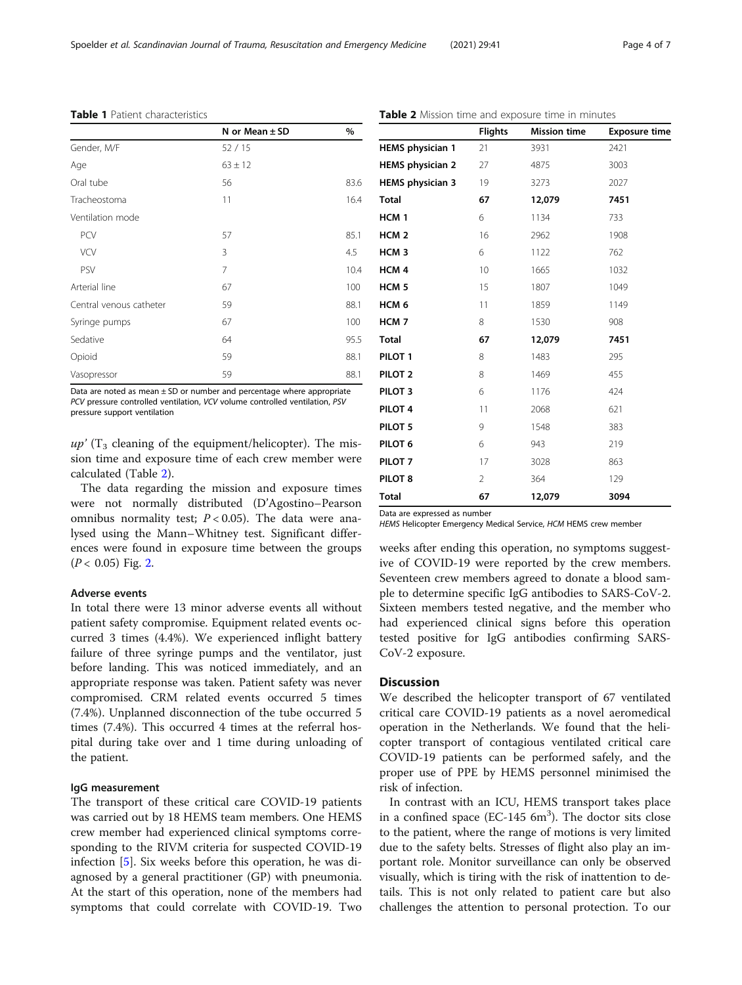<span id="page-3-0"></span>

|  |  | <b>Table 1</b> Patient characteristics |
|--|--|----------------------------------------|
|--|--|----------------------------------------|

|                         | N or Mean $\pm$ SD | $\%$ |
|-------------------------|--------------------|------|
| Gender, M/F             | 52/15              |      |
| Age                     | $63 \pm 12$        |      |
| Oral tube               | 56                 | 83.6 |
| Tracheostoma            | 11                 | 16.4 |
| Ventilation mode        |                    |      |
| PCV                     | 57                 | 85.1 |
| <b>VCV</b>              | 3                  | 4.5  |
| PSV                     | 7                  | 10.4 |
| Arterial line           | 67                 | 100  |
| Central venous catheter | 59                 | 88.1 |
| Syringe pumps           | 67                 | 100  |
| Sedative                | 64                 | 95.5 |
| Opioid                  | 59                 | 88.1 |
| Vasopressor             | 59                 | 88.1 |

Data are noted as mean  $\pm$  SD or number and percentage where appropriate PCV pressure controlled ventilation, VCV volume controlled ventilation, PSV pressure support ventilation

 $up'$  (T<sub>3</sub> cleaning of the equipment/helicopter). The mission time and exposure time of each crew member were calculated (Table 2).

The data regarding the mission and exposure times were not normally distributed (D'Agostino–Pearson omnibus normality test;  $P < 0.05$ ). The data were analysed using the Mann–Whitney test. Significant differences were found in exposure time between the groups  $(P < 0.05)$  Fig. [2](#page-4-0).

# Adverse events

In total there were 13 minor adverse events all without patient safety compromise. Equipment related events occurred 3 times (4.4%). We experienced inflight battery failure of three syringe pumps and the ventilator, just before landing. This was noticed immediately, and an appropriate response was taken. Patient safety was never compromised. CRM related events occurred 5 times (7.4%). Unplanned disconnection of the tube occurred 5 times (7.4%). This occurred 4 times at the referral hospital during take over and 1 time during unloading of the patient.

# IgG measurement

The transport of these critical care COVID-19 patients was carried out by 18 HEMS team members. One HEMS crew member had experienced clinical symptoms corresponding to the RIVM criteria for suspected COVID-19 infection [\[5](#page-6-0)]. Six weeks before this operation, he was diagnosed by a general practitioner (GP) with pneumonia. At the start of this operation, none of the members had symptoms that could correlate with COVID-19. Two

|                         | <b>Flights</b> | <b>Mission time</b> | <b>Exposure time</b> |
|-------------------------|----------------|---------------------|----------------------|
| <b>HEMS</b> physician 1 | 21             | 3931                | 2421                 |
| <b>HEMS physician 2</b> | 27             | 4875                | 3003                 |
| HEMS physician 3        | 19             | 3273                | 2027                 |
| <b>Total</b>            | 67             | 12,079              | 7451                 |
| HCM <sub>1</sub>        | 6              | 1134                | 733                  |
| HCM <sub>2</sub>        | 16             | 2962                | 1908                 |
| HCM <sub>3</sub>        | 6              | 1122                | 762                  |
| HCM <sub>4</sub>        | 10             | 1665                | 1032                 |
| HCM <sub>5</sub>        | 15             | 1807                | 1049                 |
| HCM <sub>6</sub>        | 11             | 1859                | 1149                 |
| HCM <sub>7</sub>        | 8              | 1530                | 908                  |
| <b>Total</b>            | 67             | 12,079              | 7451                 |
| PILOT <sub>1</sub>      | 8              | 1483                | 295                  |
| PILOT <sub>2</sub>      | 8              | 1469                | 455                  |
| PILOT <sub>3</sub>      | 6              | 1176                | 424                  |
| PILOT <sub>4</sub>      | 11             | 2068                | 621                  |
| PILOT <sub>5</sub>      | 9              | 1548                | 383                  |
| PILOT <sub>6</sub>      | 6              | 943                 | 219                  |
| PILOT <sub>7</sub>      | 17             | 3028                | 863                  |
| PILOT <sub>8</sub>      | $\overline{2}$ | 364                 | 129                  |
| <b>Total</b>            | 67             | 12,079              | 3094                 |

Data are expressed as number

HEMS Helicopter Emergency Medical Service, HCM HEMS crew member

weeks after ending this operation, no symptoms suggestive of COVID-19 were reported by the crew members. Seventeen crew members agreed to donate a blood sample to determine specific IgG antibodies to SARS-CoV-2. Sixteen members tested negative, and the member who had experienced clinical signs before this operation tested positive for IgG antibodies confirming SARS-CoV-2 exposure.

# **Discussion**

We described the helicopter transport of 67 ventilated critical care COVID-19 patients as a novel aeromedical operation in the Netherlands. We found that the helicopter transport of contagious ventilated critical care COVID-19 patients can be performed safely, and the proper use of PPE by HEMS personnel minimised the risk of infection.

In contrast with an ICU, HEMS transport takes place in a confined space (EC-145  $6m^3$ ). The doctor sits close to the patient, where the range of motions is very limited due to the safety belts. Stresses of flight also play an important role. Monitor surveillance can only be observed visually, which is tiring with the risk of inattention to details. This is not only related to patient care but also challenges the attention to personal protection. To our

# Table 2 Mission time and exposure time in minutes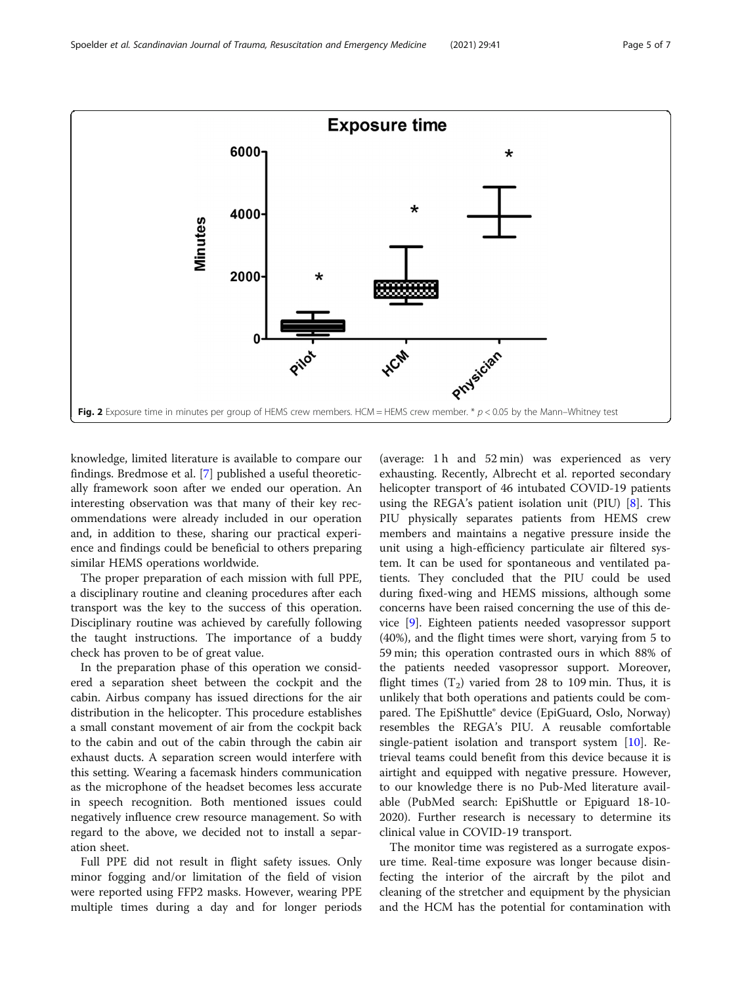<span id="page-4-0"></span>

knowledge, limited literature is available to compare our findings. Bredmose et al. [\[7](#page-6-0)] published a useful theoretically framework soon after we ended our operation. An interesting observation was that many of their key recommendations were already included in our operation and, in addition to these, sharing our practical experience and findings could be beneficial to others preparing similar HEMS operations worldwide.

The proper preparation of each mission with full PPE, a disciplinary routine and cleaning procedures after each transport was the key to the success of this operation. Disciplinary routine was achieved by carefully following the taught instructions. The importance of a buddy check has proven to be of great value.

In the preparation phase of this operation we considered a separation sheet between the cockpit and the cabin. Airbus company has issued directions for the air distribution in the helicopter. This procedure establishes a small constant movement of air from the cockpit back to the cabin and out of the cabin through the cabin air exhaust ducts. A separation screen would interfere with this setting. Wearing a facemask hinders communication as the microphone of the headset becomes less accurate in speech recognition. Both mentioned issues could negatively influence crew resource management. So with regard to the above, we decided not to install a separation sheet.

Full PPE did not result in flight safety issues. Only minor fogging and/or limitation of the field of vision were reported using FFP2 masks. However, wearing PPE multiple times during a day and for longer periods

(average: 1 h and 52 min) was experienced as very exhausting. Recently, Albrecht et al. reported secondary helicopter transport of 46 intubated COVID-19 patients using the REGA's patient isolation unit (PIU) [[8\]](#page-6-0). This PIU physically separates patients from HEMS crew members and maintains a negative pressure inside the unit using a high-efficiency particulate air filtered system. It can be used for spontaneous and ventilated patients. They concluded that the PIU could be used during fixed-wing and HEMS missions, although some concerns have been raised concerning the use of this device [[9](#page-6-0)]. Eighteen patients needed vasopressor support (40%), and the flight times were short, varying from 5 to 59 min; this operation contrasted ours in which 88% of the patients needed vasopressor support. Moreover, flight times  $(T_2)$  varied from 28 to 109 min. Thus, it is unlikely that both operations and patients could be compared. The EpiShuttle® device (EpiGuard, Oslo, Norway) resembles the REGA's PIU. A reusable comfortable single-patient isolation and transport system [\[10](#page-6-0)]. Retrieval teams could benefit from this device because it is airtight and equipped with negative pressure. However, to our knowledge there is no Pub-Med literature available (PubMed search: EpiShuttle or Epiguard 18-10- 2020). Further research is necessary to determine its clinical value in COVID-19 transport.

The monitor time was registered as a surrogate exposure time. Real-time exposure was longer because disinfecting the interior of the aircraft by the pilot and cleaning of the stretcher and equipment by the physician and the HCM has the potential for contamination with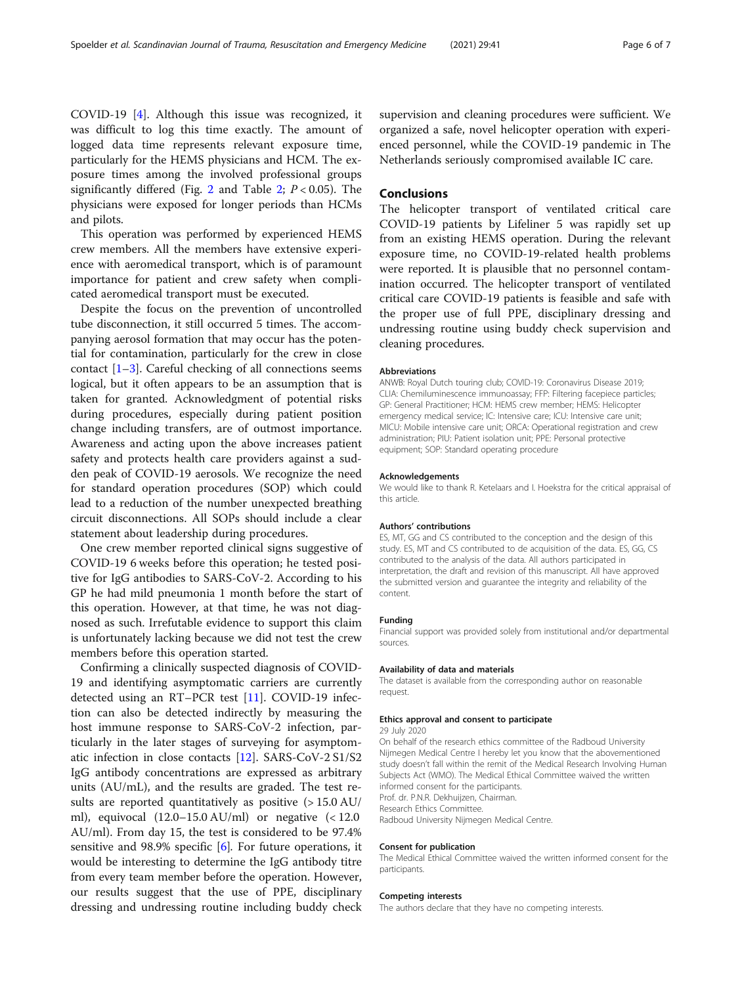COVID-19 [[4\]](#page-6-0). Although this issue was recognized, it was difficult to log this time exactly. The amount of logged data time represents relevant exposure time, particularly for the HEMS physicians and HCM. The exposure times among the involved professional groups significantly differed (Fig. [2](#page-4-0) and Table [2;](#page-3-0)  $P < 0.05$ ). The physicians were exposed for longer periods than HCMs and pilots.

This operation was performed by experienced HEMS crew members. All the members have extensive experience with aeromedical transport, which is of paramount importance for patient and crew safety when complicated aeromedical transport must be executed.

Despite the focus on the prevention of uncontrolled tube disconnection, it still occurred 5 times. The accompanying aerosol formation that may occur has the potential for contamination, particularly for the crew in close contact  $[1-3]$  $[1-3]$  $[1-3]$ . Careful checking of all connections seems logical, but it often appears to be an assumption that is taken for granted. Acknowledgment of potential risks during procedures, especially during patient position change including transfers, are of outmost importance. Awareness and acting upon the above increases patient safety and protects health care providers against a sudden peak of COVID-19 aerosols. We recognize the need for standard operation procedures (SOP) which could lead to a reduction of the number unexpected breathing circuit disconnections. All SOPs should include a clear statement about leadership during procedures.

One crew member reported clinical signs suggestive of COVID-19 6 weeks before this operation; he tested positive for IgG antibodies to SARS-CoV-2. According to his GP he had mild pneumonia 1 month before the start of this operation. However, at that time, he was not diagnosed as such. Irrefutable evidence to support this claim is unfortunately lacking because we did not test the crew members before this operation started.

Confirming a clinically suspected diagnosis of COVID-19 and identifying asymptomatic carriers are currently detected using an RT–PCR test [[11](#page-6-0)]. COVID-19 infection can also be detected indirectly by measuring the host immune response to SARS-CoV-2 infection, particularly in the later stages of surveying for asymptomatic infection in close contacts [\[12](#page-6-0)]. SARS-CoV-2 S1/S2 IgG antibody concentrations are expressed as arbitrary units (AU/mL), and the results are graded. The test results are reported quantitatively as positive  $(> 15.0 \text{ AU})$ ml), equivocal  $(12.0-15.0 \text{ AU/ml})$  or negative  $(< 12.0$ AU/ml). From day 15, the test is considered to be 97.4% sensitive and 98.9% specific [\[6](#page-6-0)]. For future operations, it would be interesting to determine the IgG antibody titre from every team member before the operation. However, our results suggest that the use of PPE, disciplinary dressing and undressing routine including buddy check supervision and cleaning procedures were sufficient. We organized a safe, novel helicopter operation with experienced personnel, while the COVID-19 pandemic in The Netherlands seriously compromised available IC care.

# Conclusions

The helicopter transport of ventilated critical care COVID-19 patients by Lifeliner 5 was rapidly set up from an existing HEMS operation. During the relevant exposure time, no COVID-19-related health problems were reported. It is plausible that no personnel contamination occurred. The helicopter transport of ventilated critical care COVID-19 patients is feasible and safe with the proper use of full PPE, disciplinary dressing and undressing routine using buddy check supervision and cleaning procedures.

## Abbreviations

ANWB: Royal Dutch touring club; COVID-19: Coronavirus Disease 2019; CLIA: Chemiluminescence immunoassay; FFP: Filtering facepiece particles; GP: General Practitioner; HCM: HEMS crew member; HEMS: Helicopter emergency medical service; IC: Intensive care; ICU: Intensive care unit; MICU: Mobile intensive care unit; ORCA: Operational registration and crew administration; PIU: Patient isolation unit; PPE: Personal protective equipment; SOP: Standard operating procedure

#### Acknowledgements

We would like to thank R. Ketelaars and I. Hoekstra for the critical appraisal of this article.

### Authors' contributions

ES, MT, GG and CS contributed to the conception and the design of this study. ES, MT and CS contributed to de acquisition of the data. ES, GG, CS contributed to the analysis of the data. All authors participated in interpretation, the draft and revision of this manuscript. All have approved the submitted version and guarantee the integrity and reliability of the content.

#### Funding

Financial support was provided solely from institutional and/or departmental sources.

#### Availability of data and materials

The dataset is available from the corresponding author on reasonable request.

## Ethics approval and consent to participate

29 July 2020

On behalf of the research ethics committee of the Radboud University Nijmegen Medical Centre I hereby let you know that the abovementioned study doesn't fall within the remit of the Medical Research Involving Human Subjects Act (WMO). The Medical Ethical Committee waived the written informed consent for the participants. Prof. dr. P.N.R. Dekhuijzen, Chairman. Research Ethics Committee. Radboud University Nijmegen Medical Centre.

# Consent for publication

The Medical Ethical Committee waived the written informed consent for the participants.

#### Competing interests

The authors declare that they have no competing interests.